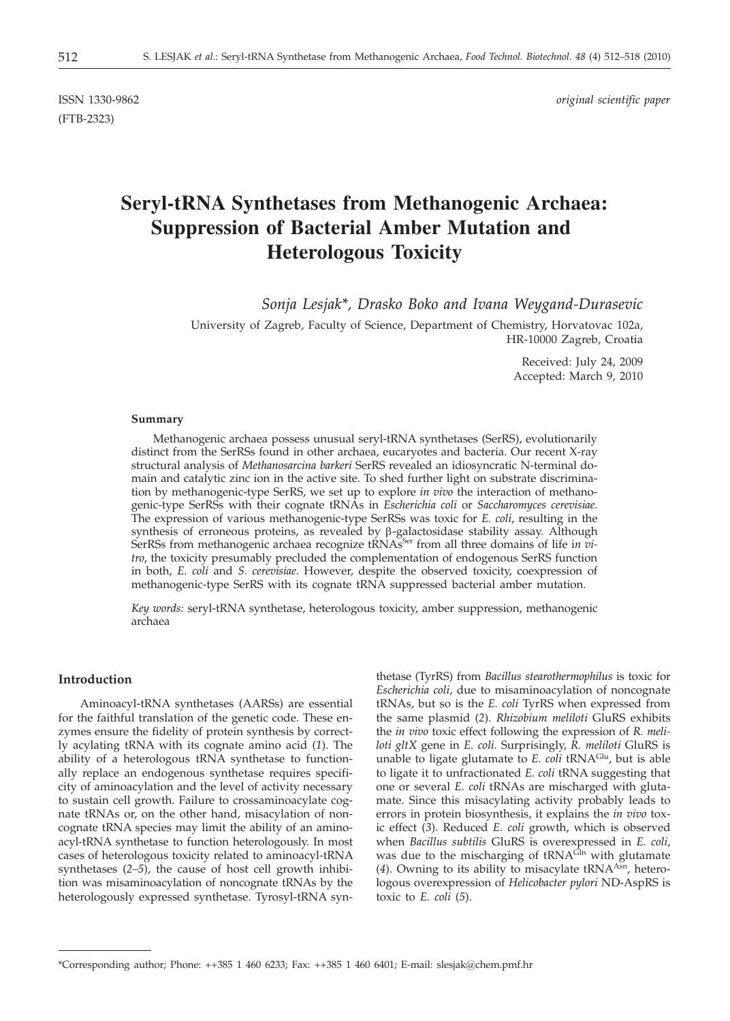(FTB-2323)

ISSN 1330-9862 *original scientific paper*

# **Seryl-tRNA Synthetases from Methanogenic Archaea: Suppression of Bacterial Amber Mutation and Heterologous Toxicity**

*Sonja Lesjak\*, Drasko Boko and Ivana Weygand-Durasevic*

University of Zagreb, Faculty of Science, Department of Chemistry, Horvatovac 102a, HR-10000 Zagreb, Croatia

> Received: July 24, 2009 Accepted: March 9, 2010

#### **Summary**

Methanogenic archaea possess unusual seryl-tRNA synthetases (SerRS), evolutionarily distinct from the SerRSs found in other archaea, eucaryotes and bacteria. Our recent X-ray structural analysis of *Methanosarcina barkeri* SerRS revealed an idiosyncratic N-terminal domain and catalytic zinc ion in the active site. To shed further light on substrate discrimination by methanogenic-type SerRS, we set up to explore *in vivo* the interaction of methanogenic-type SerRSs with their cognate tRNAs in *Escherichia coli* or *Saccharomyces cerevisiae*. The expression of various methanogenic-type SerRSs was toxic for *E. coli*, resulting in the synthesis of erroneous proteins, as revealed by  $\beta$ -galactosidase stability assay. Although SerRSs from methanogenic archaea recognize tRNAS<sup>Ser</sup> from all three domains of life in vi*tro*, the toxicity presumably precluded the complementation of endogenous SerRS function in both, *E. coli* and *S. cerevisiae*. However, despite the observed toxicity, coexpression of methanogenic-type SerRS with its cognate tRNA suppressed bacterial amber mutation.

*Key words:* seryl-tRNA synthetase, heterologous toxicity, amber suppression, methanogenic archaea

## **Introduction**

Aminoacyl-tRNA synthetases (AARSs) are essential for the faithful translation of the genetic code. These enzymes ensure the fidelity of protein synthesis by correctly acylating tRNA with its cognate amino acid (*1*). The ability of a heterologous tRNA synthetase to functionally replace an endogenous synthetase requires specificity of aminoacylation and the level of activity necessary to sustain cell growth. Failure to crossaminoacylate cognate tRNAs or, on the other hand, misacylation of noncognate tRNA species may limit the ability of an aminoacyl-tRNA synthetase to function heterologously. In most cases of heterologous toxicity related to aminoacyl-tRNA synthetases (*2–5*), the cause of host cell growth inhibition was misaminoacylation of noncognate tRNAs by the heterologously expressed synthetase. Tyrosyl-tRNA syn-

thetase (TyrRS) from *Bacillus stearothermophilus* is toxic for *Escherichia coli*, due to misaminoacylation of noncognate tRNAs, but so is the *E. coli* TyrRS when expressed from the same plasmid (*2*). *Rhizobium meliloti* GluRS exhibits the *in vivo* toxic effect following the expression of *R. meliloti gltX* gene in *E. coli.* Surprisingly, *R. meliloti* GluRS is unable to ligate glutamate to *E. coli* tRNAGlu, but is able to ligate it to unfractionated *E. coli* tRNA suggesting that one or several *E. coli* tRNAs are mischarged with glutamate. Since this misacylating activity probably leads to errors in protein biosynthesis, it explains the *in vivo* toxic effect (*3*). Reduced *E. coli* growth, which is observed when *Bacillus subtilis* GluRS is overexpressed in *E. coli*, was due to the mischarging of tRNA<sup>Gh</sup> with glutamate (4). Owning to its ability to misacylate tRNA<sup>Asn</sup>, heterologous overexpression of *Helicobacter pylori* ND-AspRS is toxic to *E. coli* (*5*).

<sup>\*</sup>Corresponding author; Phone: ++385 1 460 6233; Fax: ++385 1 460 6401; E-mail: slesjak@chem.pmf.hr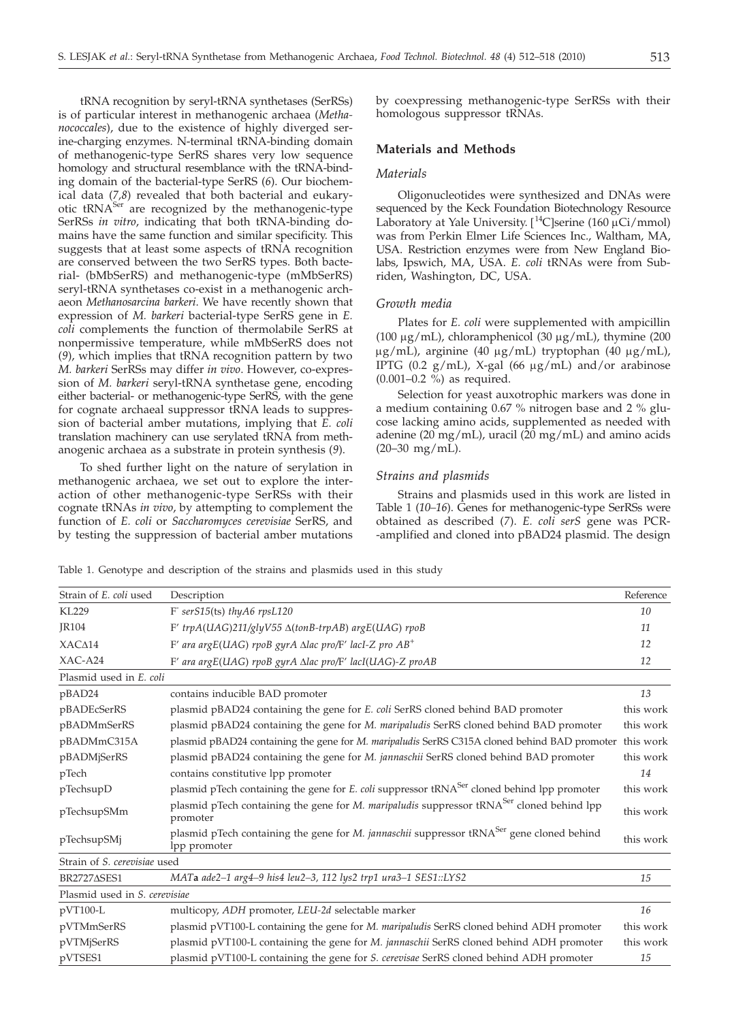tRNA recognition by seryl-tRNA synthetases (SerRSs) is of particular interest in methanogenic archaea (*Methanococcales*), due to the existence of highly diverged serine-charging enzymes. N-terminal tRNA-binding domain of methanogenic-type SerRS shares very low sequence homology and structural resemblance with the tRNA-binding domain of the bacterial-type SerRS (*6*). Our biochemical data (*7,8*) revealed that both bacterial and eukaryotic tRNA<sup>Ser</sup> are recognized by the methanogenic-type SerRSs *in vitro*, indicating that both tRNA-binding domains have the same function and similar specificity. This suggests that at least some aspects of tRNA recognition are conserved between the two SerRS types. Both bacterial- (bMbSerRS) and methanogenic-type (mMbSerRS) seryl-tRNA synthetases co-exist in a methanogenic archaeon *Methanosarcina barkeri*. We have recently shown that expression of *M. barkeri* bacterial-type SerRS gene in *E. coli* complements the function of thermolabile SerRS at nonpermissive temperature, while mMbSerRS does not (*9*), which implies that tRNA recognition pattern by two *M. barkeri* SerRSs may differ *in vivo*. However, co-expression of *M. barkeri* seryl-tRNA synthetase gene, encoding either bacterial- or methanogenic-type SerRS, with the gene for cognate archaeal suppressor tRNA leads to suppression of bacterial amber mutations, implying that *E. coli* translation machinery can use serylated tRNA from methanogenic archaea as a substrate in protein synthesis (*9*).

To shed further light on the nature of serylation in methanogenic archaea, we set out to explore the interaction of other methanogenic-type SerRSs with their cognate tRNAs *in vivo*, by attempting to complement the function of *E. coli* or *Saccharomyces cerevisiae* SerRS, and by testing the suppression of bacterial amber mutations by coexpressing methanogenic-type SerRSs with their homologous suppressor tRNAs.

#### **Materials and Methods**

## *Materials*

Oligonucleotides were synthesized and DNAs were sequenced by the Keck Foundation Biotechnology Resource Laboratory at Yale University. [<sup>14</sup>C]serine (160 μCi/mmol)<br>was from Perkin Elmer Life Sciences Inc. Waltham MA was from Perkin Elmer Life Sciences Inc., Waltham, MA, USA. Restriction enzymes were from New England Biolabs, Ipswich, MA, USA. *E. coli* tRNAs were from Subriden, Washington, DC, USA.

#### *Growth media*

Plates for *E. coli* were supplemented with ampicillin (100  $\mu$ g/mL), chloramphenicol (30  $\mu$ g/mL), thymine (200  $\mu$ g/mL), arginine (40  $\mu$ g/mL) tryptophan (40  $\mu$ g/mL), IPTG (0.2  $g/mL$ ), X-gal (66  $\mu g/mL$ ) and/or arabinose (0.001–0.2 %) as required.

Selection for yeast auxotrophic markers was done in a medium containing 0.67 % nitrogen base and 2 % glucose lacking amino acids, supplemented as needed with adenine (20 mg/mL), uracil ( $20$  mg/mL) and amino acids (20–30 mg/mL).

## *Strains and plasmids*

Strains and plasmids used in this work are listed in Table 1 (*10–16*). Genes for methanogenic-type SerRSs were obtained as described (*7*). *E. coli serS* gene was PCR- -amplified and cloned into pBAD24 plasmid. The design

Table 1. Genotype and description of the strains and plasmids used in this study

| Strain of E. coli used        | Description                                                                                                           |           |  |  |  |  |  |  |
|-------------------------------|-----------------------------------------------------------------------------------------------------------------------|-----------|--|--|--|--|--|--|
| <b>KL229</b>                  | F serS15(ts) thyA6 rpsL120                                                                                            | 10        |  |  |  |  |  |  |
| JR104                         | F' trpA(UAG)211/glyV55 ∆(tonB-trpAB) argE(UAG) rpoB                                                                   | 11        |  |  |  |  |  |  |
| XAC <sub>4</sub> 14           | F' ara argE(UAG) rpoB gyrA $\Delta$ lac pro/F' lacI-Z pro $AB^+$                                                      |           |  |  |  |  |  |  |
| $XAC-A24$                     | F' ara argE(UAG) rpoB gyrA ∆lac pro/F' lacI(UAG)-Z proAB                                                              |           |  |  |  |  |  |  |
| Plasmid used in E. coli       |                                                                                                                       |           |  |  |  |  |  |  |
| pBAD24                        | contains inducible BAD promoter                                                                                       | 13        |  |  |  |  |  |  |
| pBADEcSerRS                   | plasmid pBAD24 containing the gene for <i>E. coli</i> SerRS cloned behind BAD promoter                                | this work |  |  |  |  |  |  |
| pBADMmSerRS                   | plasmid pBAD24 containing the gene for M. maripaludis SerRS cloned behind BAD promoter                                | this work |  |  |  |  |  |  |
| pBADMmC315A                   | plasmid pBAD24 containing the gene for M. maripaludis SerRS C315A cloned behind BAD promoter this work                |           |  |  |  |  |  |  |
| pBADMjSerRS                   | plasmid pBAD24 containing the gene for M. jannaschii SerRS cloned behind BAD promoter                                 | this work |  |  |  |  |  |  |
| pTech                         | contains constitutive lpp promoter                                                                                    | 14        |  |  |  |  |  |  |
| pTechsupD                     | plasmid pTech containing the gene for <i>E. coli</i> suppressor tRNA <sup>Ser</sup> cloned behind lpp promoter        | this work |  |  |  |  |  |  |
| pTechsupSMm                   | plasmid pTech containing the gene for M. maripaludis suppressor tRNA <sup>Ser</sup> cloned behind lpp<br>promoter     | this work |  |  |  |  |  |  |
| pTechsupSMj                   | plasmid pTech containing the gene for M. jannaschii suppressor tRNA <sup>Ser</sup> gene cloned behind<br>lpp promoter |           |  |  |  |  |  |  |
| Strain of S. cerevisiae used  |                                                                                                                       |           |  |  |  |  |  |  |
| <b>BR2727ASES1</b>            | MATa ade2-1 arg4-9 his4 leu2-3, 112 lys2 trp1 ura3-1 SES1::LYS2                                                       | 15        |  |  |  |  |  |  |
| Plasmid used in S. cerevisiae |                                                                                                                       |           |  |  |  |  |  |  |
| $pVT100-L$                    | multicopy, ADH promoter, LEU-2d selectable marker                                                                     | 16        |  |  |  |  |  |  |
| pVTMmSerRS                    | plasmid pVT100-L containing the gene for <i>M. maripaludis</i> SerRS cloned behind ADH promoter                       | this work |  |  |  |  |  |  |
| pVTMjSerRS                    | plasmid pVT100-L containing the gene for M. jannaschii SerRS cloned behind ADH promoter                               | this work |  |  |  |  |  |  |
| pVTSES1                       | plasmid pVT100-L containing the gene for S. cerevisae SerRS cloned behind ADH promoter                                | 15        |  |  |  |  |  |  |
|                               |                                                                                                                       |           |  |  |  |  |  |  |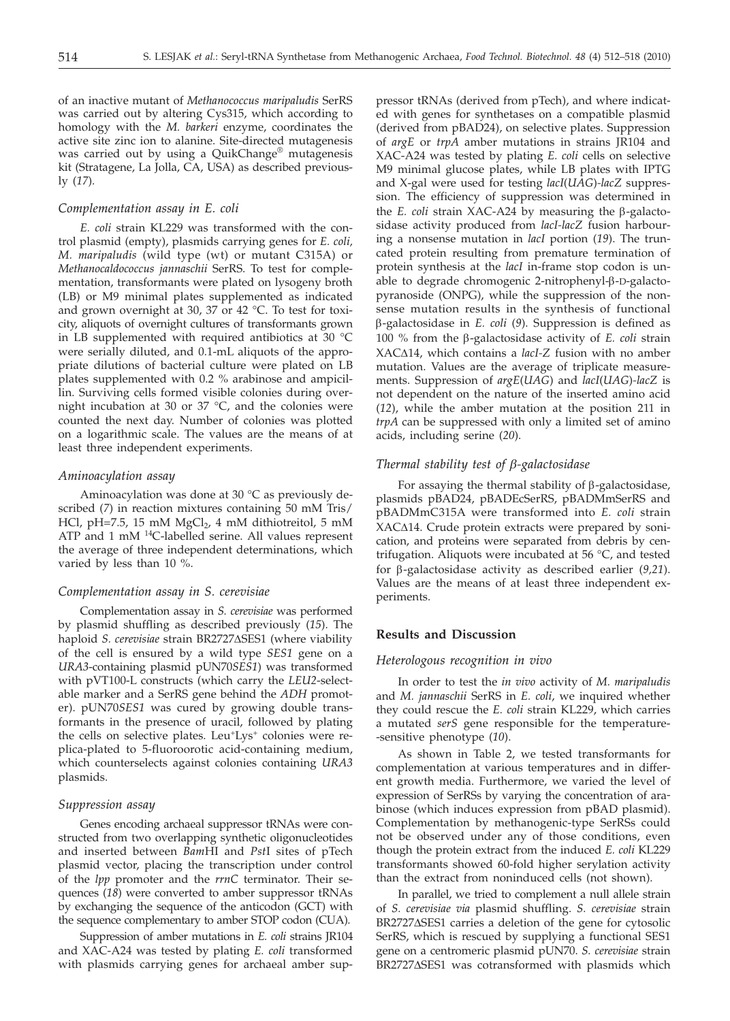of an inactive mutant of *Methanococcus maripaludis* SerRS was carried out by altering Cys315, which according to homology with the *M. barkeri* enzyme, coordinates the active site zinc ion to alanine. Site-directed mutagenesis was carried out by using a QuikChange® mutagenesis kit (Stratagene, La Jolla, CA, USA) as described previously (*17*).

## *Complementation assay in E. coli*

*E. coli* strain KL229 was transformed with the control plasmid (empty), plasmids carrying genes for *E. coli, M. maripaludis* (wild type (wt) or mutant C315A) or *Methanocaldococcus jannaschii* SerRS. To test for complementation, transformants were plated on lysogeny broth (LB) or M9 minimal plates supplemented as indicated and grown overnight at 30, 37 or 42 °C. To test for toxicity, aliquots of overnight cultures of transformants grown in LB supplemented with required antibiotics at 30 °C were serially diluted, and 0.1-mL aliquots of the appropriate dilutions of bacterial culture were plated on LB plates supplemented with 0.2 % arabinose and ampicillin. Surviving cells formed visible colonies during overnight incubation at 30 or 37 °C, and the colonies were counted the next day. Number of colonies was plotted on a logarithmic scale. The values are the means of at least three independent experiments.

## *Aminoacylation assay*

Aminoacylation was done at 30 °C as previously described (*7*) in reaction mixtures containing 50 mM Tris/ HCl, pH=7.5, 15 mM  $MgCl<sub>2</sub>$ , 4 mM dithiotreitol, 5 mM ATP and 1 mM <sup>14</sup>C-labelled serine. All values represent the average of three independent determinations, which varied by less than 10 %.

# *Complementation assay in S. cerevisiae*

Complementation assay in *S. cerevisiae* was performed by plasmid shuffling as described previously (*15*). The haploid *S. cerevisiae* strain BR2727ASES1 (where viability of the cell is ensured by a wild type *SES1* gene on a *URA3*-containing plasmid pUN70*SES1*) was transformed with pVT100-L constructs (which carry the *LEU2*-selectable marker and a SerRS gene behind the *ADH* promoter). pUN70*SES1* was cured by growing double transformants in the presence of uracil, followed by plating the cells on selective plates. Leu<sup>+</sup>Lys<sup>+</sup> colonies were replica-plated to 5-fluoroorotic acid-containing medium, which counterselects against colonies containing *URA3* plasmids.

## *Suppression assay*

Genes encoding archaeal suppressor tRNAs were constructed from two overlapping synthetic oligonucleotides and inserted between *Bam*HI and *Pst*I sites of pTech plasmid vector, placing the transcription under control of the *lpp* promoter and the *rrnC* terminator. Their sequences (*18*) were converted to amber suppressor tRNAs by exchanging the sequence of the anticodon (GCT) with the sequence complementary to amber STOP codon (CUA).

Suppression of amber mutations in *E. coli* strains JR104 and XAC-A24 was tested by plating *E. coli* transformed with plasmids carrying genes for archaeal amber sup-

pressor tRNAs (derived from pTech), and where indicated with genes for synthetases on a compatible plasmid (derived from pBAD24), on selective plates. Suppression of *argE* or *trpA* amber mutations in strains JR104 and XAC-A24 was tested by plating *E. coli* cells on selective M9 minimal glucose plates, while LB plates with IPTG and X-gal were used for testing *lacI*(*UAG*)*-lacZ* suppression. The efficiency of suppression was determined in the *E. coli* strain XAC-A24 by measuring the  $\beta$ -galactosidase activity produced from *lacI-lacZ* fusion harbouring a nonsense mutation in *lacI* portion (*19*). The truncated protein resulting from premature termination of protein synthesis at the *lacI* in-frame stop codon is unable to degrade chromogenic 2-nitrophenyl-β-D-galactopyranoside (ONPG), while the suppression of the nonsense mutation results in the synthesis of functional b-galactosidase in *E. coli* (*9*). Suppression is defined as 100 % from the  $\beta$ -galactosidase activity of *E. coli* strain XAC $\triangle$ 14, which contains a *lacI-Z* fusion with no amber mutation. Values are the average of triplicate measurements. Suppression of *argE*(*UAG*) and *lacI*(*UAG*)*-lacZ* is not dependent on the nature of the inserted amino acid (*12*), while the amber mutation at the position 211 in *trpA* can be suppressed with only a limited set of amino acids, including serine (*20*).

#### *Thermal stability test of b-galactosidase*

For assaying the thermal stability of  $\beta$ -galactosidase, plasmids pBAD24, pBADEcSerRS, pBADMmSerRS and pBADMmC315A were transformed into *E. coli* strain XAC $\Delta$ 14. Crude protein extracts were prepared by sonication, and proteins were separated from debris by centrifugation. Aliquots were incubated at 56 °C, and tested for b-galactosidase activity as described earlier (*9,21*). Values are the means of at least three independent experiments.

# **Results and Discussion**

#### *Heterologous recognition in vivo*

In order to test the *in vivo* activity of *M. maripaludis* and *M. jannaschii* SerRS in *E. coli*, we inquired whether they could rescue the *E. coli* strain KL229, which carries a mutated *serS* gene responsible for the temperature- -sensitive phenotype (*10*).

As shown in Table 2, we tested transformants for complementation at various temperatures and in different growth media. Furthermore, we varied the level of expression of SerRSs by varying the concentration of arabinose (which induces expression from pBAD plasmid). Complementation by methanogenic-type SerRSs could not be observed under any of those conditions, even though the protein extract from the induced *E. coli* KL229 transformants showed 60-fold higher serylation activity than the extract from noninduced cells (not shown).

In parallel, we tried to complement a null allele strain of *S. cerevisiae via* plasmid shuffling. *S. cerevisiae* strain BR2727∆SES1 carries a deletion of the gene for cytosolic SerRS, which is rescued by supplying a functional SES1 gene on a centromeric plasmid pUN70. *S. cerevisiae* strain BR2727∆SES1 was cotransformed with plasmids which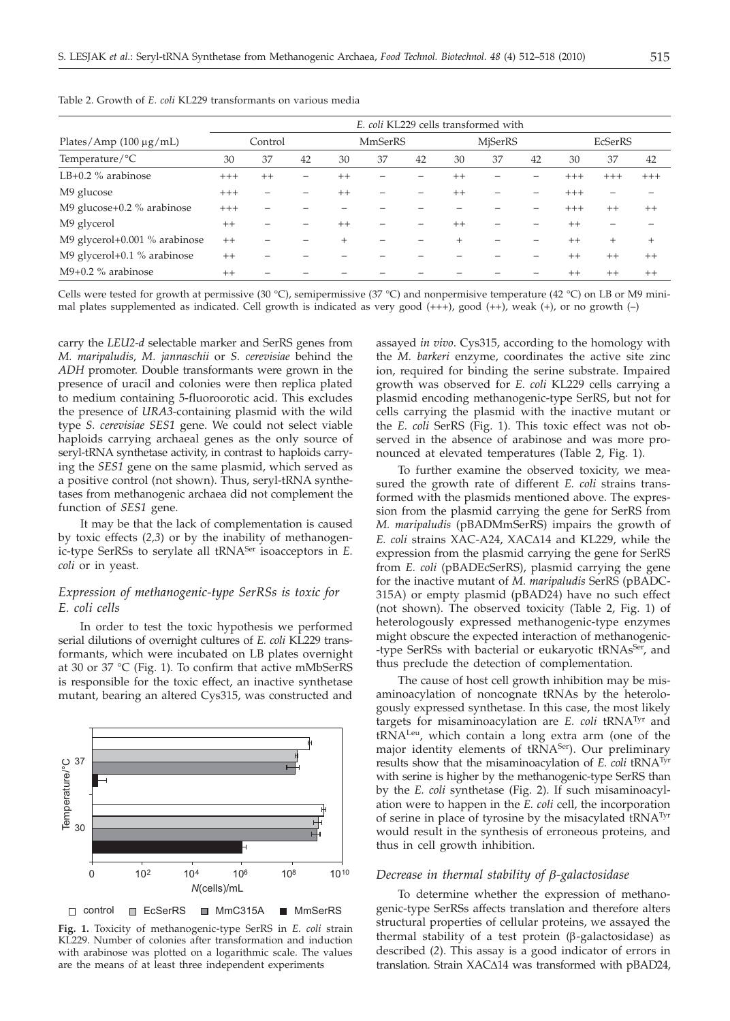|                               | E. coli KL229 cells transformed with |         |    |                |    |    |                |    |    |          |         |       |
|-------------------------------|--------------------------------------|---------|----|----------------|----|----|----------------|----|----|----------|---------|-------|
| Plates/Amp $(100 \mu g/mL)$   | Control                              |         |    | <b>MmSerRS</b> |    |    | <b>MiSerRS</b> |    |    | EcSerRS  |         |       |
| Temperature/ ${}^{\circ}C$    | 30                                   | 37      | 42 | 30             | 37 | 42 | 30             | 37 | 42 | 30       | 37      | 42    |
| LB+0.2 $\%$ arabinose         | $+++$                                | $^{++}$ |    | $++$           |    |    | $++$           |    |    | $^{+++}$ | $+++$   | $+++$ |
| M9 glucose                    | $^{+++}$                             | -       |    | $^{++}$        |    |    | $^{++}$        |    |    | $+++$    |         |       |
| M9 glucose+0.2 % arabinose    | $+++$                                |         |    |                |    |    |                |    |    | $+++$    | $++$    | $++$  |
| M9 glycerol                   | $^{++}$                              |         |    | $^{++}$        |    |    | $^{++}$        |    |    | $^{++}$  |         |       |
| M9 glycerol+0.001 % arabinose | $^{++}$                              |         |    | $^{+}$         |    |    | $^{+}$         |    |    | $^{++}$  | $^{+}$  | $+$   |
| M9 glycerol+0.1 % arabinose   | $^{++}$                              |         |    |                |    |    |                |    |    | $^{++}$  | $++$    | $++$  |
| $M9+0.2$ % arabinose          | $++$                                 |         |    |                |    |    |                |    |    | $++$     | $^{++}$ | $++$  |

Table 2. Growth of *E. coli* KL229 transformants on various media

Cells were tested for growth at permissive (30 °C), semipermissive (37 °C) and nonpermisive temperature (42 °C) on LB or M9 minimal plates supplemented as indicated. Cell growth is indicated as very good (+++), good (++), weak (+), or no growth (–)

carry the *LEU2-d* selectable marker and SerRS genes from *M. maripaludis, M. jannaschii* or *S. cerevisiae* behind the *ADH* promoter. Double transformants were grown in the presence of uracil and colonies were then replica plated to medium containing 5-fluoroorotic acid. This excludes the presence of *URA3*-containing plasmid with the wild type *S. cerevisiae SES1* gene. We could not select viable haploids carrying archaeal genes as the only source of seryl-tRNA synthetase activity, in contrast to haploids carrying the *SES1* gene on the same plasmid, which served as a positive control (not shown). Thus, seryl-tRNA synthetases from methanogenic archaea did not complement the function of *SES1* gene.

It may be that the lack of complementation is caused by toxic effects (*2,3*) or by the inability of methanogenic-type SerRSs to serylate all tRNASer isoacceptors in *E. coli* or in yeast.

# *Expression of methanogenic-type SerRSs is toxic for E. coli cells*

In order to test the toxic hypothesis we performed serial dilutions of overnight cultures of *E. coli* KL229 transformants, which were incubated on LB plates overnight at 30 or 37 °C (Fig. 1). To confirm that active mMbSerRS is responsible for the toxic effect, an inactive synthetase mutant, bearing an altered Cys315, was constructed and



**Fig. 1.** Toxicity of methanogenic-type SerRS in *E. coli* strain KL229. Number of colonies after transformation and induction with arabinose was plotted on a logarithmic scale. The values are the means of at least three independent experiments

assayed *in vivo*. Cys315, according to the homology with the *M. barkeri* enzyme, coordinates the active site zinc ion, required for binding the serine substrate. Impaired growth was observed for *E. coli* KL229 cells carrying a plasmid encoding methanogenic-type SerRS, but not for cells carrying the plasmid with the inactive mutant or the *E. coli* SerRS (Fig. 1). This toxic effect was not observed in the absence of arabinose and was more pronounced at elevated temperatures (Table 2, Fig. 1).

To further examine the observed toxicity, we measured the growth rate of different *E. coli* strains transformed with the plasmids mentioned above. The expression from the plasmid carrying the gene for SerRS from *M. maripaludis* (pBADMmSerRS) impairs the growth of *E. coli* strains XAC-A24, XACΔ14 and KL229, while the expression from the plasmid carrying the gene for SerRS from *E. coli* (pBADEcSerRS), plasmid carrying the gene for the inactive mutant of *M. maripaludis* SerRS (pBADC-315A) or empty plasmid (pBAD24) have no such effect (not shown). The observed toxicity (Table 2, Fig. 1) of heterologously expressed methanogenic-type enzymes might obscure the expected interaction of methanogenic- -type SerRSs with bacterial or eukaryotic tRNAs<sup>Ser</sup>, and thus preclude the detection of complementation.

The cause of host cell growth inhibition may be misaminoacylation of noncognate tRNAs by the heterologously expressed synthetase. In this case, the most likely targets for misaminoacylation are *E. coli* tRNATyr and tRNALeu, which contain a long extra arm (one of the major identity elements of tRNA<sup>Ser</sup>). Our preliminary results show that the misaminoacylation of *E. coli* tRNATyr with serine is higher by the methanogenic-type SerRS than by the *E. coli* synthetase (Fig. 2). If such misaminoacylation were to happen in the *E. coli* cell, the incorporation of serine in place of tyrosine by the misacylated tRNATyr would result in the synthesis of erroneous proteins, and thus in cell growth inhibition.

# *Decrease in thermal stability of b-galactosidase*

To determine whether the expression of methanogenic-type SerRSs affects translation and therefore alters structural properties of cellular proteins, we assayed the thermal stability of a test protein  $(\beta$ -galactosidase) as described (*2*). This assay is a good indicator of errors in translation. Strain  $XAC\Delta14$  was transformed with pBAD24,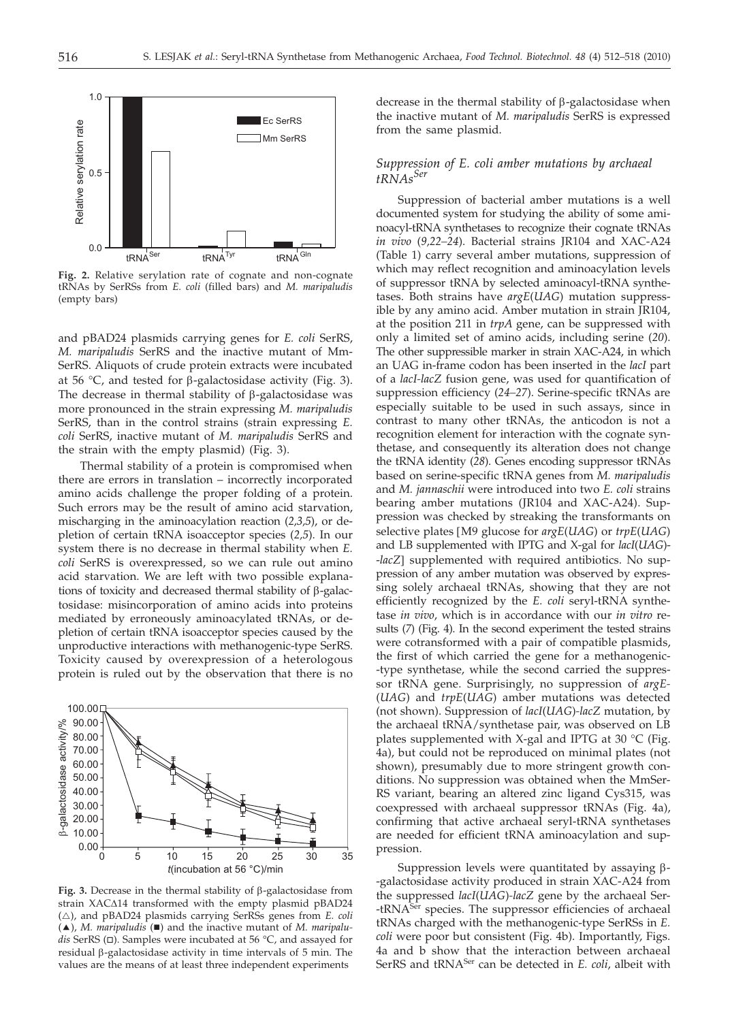

**Fig. 2.** Relative serylation rate of cognate and non-cognate tRNAs by SerRSs from *E. coli* (filled bars) and *M. maripaludis* (empty bars)

and pBAD24 plasmids carrying genes for *E. coli* SerRS, *M. maripaludis* SerRS and the inactive mutant of Mm-SerRS. Aliquots of crude protein extracts were incubated at 56  $\degree$ C, and tested for  $\beta$ -galactosidase activity (Fig. 3). The decrease in thermal stability of  $\beta$ -galactosidase was more pronounced in the strain expressing *M. maripaludis* SerRS, than in the control strains (strain expressing *E. coli* SerRS, inactive mutant of *M. maripaludis* SerRS and the strain with the empty plasmid) (Fig. 3).

Thermal stability of a protein is compromised when there are errors in translation – incorrectly incorporated amino acids challenge the proper folding of a protein. Such errors may be the result of amino acid starvation, mischarging in the aminoacylation reaction (*2,3,5*), or depletion of certain tRNA isoacceptor species (*2,5*). In our system there is no decrease in thermal stability when *E. coli* SerRS is overexpressed, so we can rule out amino acid starvation. We are left with two possible explanations of toxicity and decreased thermal stability of  $\beta$ -galactosidase: misincorporation of amino acids into proteins mediated by erroneously aminoacylated tRNAs, or depletion of certain tRNA isoacceptor species caused by the unproductive interactions with methanogenic-type SerRS. Toxicity caused by overexpression of a heterologous protein is ruled out by the observation that there is no



Fig. 3. Decrease in the thermal stability of  $\beta$ -galactosidase from strain XAC $\Delta$ 14 transformed with the empty plasmid pBAD24 ( $\triangle$ ), and pBAD24 plasmids carrying SerRSs genes from *E. coli* (△), *M. maripaludis* (■) and the inactive mutant of *M. maripaludis* SerRS (□). Samples were incubated at 56 °C, and assayed for residual  $\beta$ -galactosidase activity in time intervals of 5 min. The values are the means of at least three independent experiments

decrease in the thermal stability of  $\beta$ -galactosidase when the inactive mutant of *M. maripaludis* SerRS is expressed from the same plasmid.

## *Suppression of E. coli amber mutations by archaeal tRNAsSer*

Suppression of bacterial amber mutations is a well documented system for studying the ability of some aminoacyl-tRNA synthetases to recognize their cognate tRNAs *in vivo* (*9,22–24*). Bacterial strains JR104 and XAC-A24 (Table 1) carry several amber mutations, suppression of which may reflect recognition and aminoacylation levels of suppressor tRNA by selected aminoacyl-tRNA synthetases. Both strains have *argE*(*UAG*) mutation suppressible by any amino acid. Amber mutation in strain JR104, at the position 211 in *trpA* gene, can be suppressed with only a limited set of amino acids, including serine (*20*). The other suppressible marker in strain XAC-A24, in which an UAG in-frame codon has been inserted in the *lacI* part of a *lacI-lacZ* fusion gene, was used for quantification of suppression efficiency (*24–27*). Serine-specific tRNAs are especially suitable to be used in such assays, since in contrast to many other tRNAs, the anticodon is not a recognition element for interaction with the cognate synthetase, and consequently its alteration does not change the tRNA identity (*28*). Genes encoding suppressor tRNAs based on serine-specific tRNA genes from *M. maripaludis* and *M. jannaschii* were introduced into two *E. coli* strains bearing amber mutations (JR104 and XAC-A24). Suppression was checked by streaking the transformants on selective plates [M9 glucose for *argE*(*UAG*) or *trpE*(*UAG*) and LB supplemented with IPTG and X-gal for *lacI*(*UAG*)- -*lacZ*] supplemented with required antibiotics. No suppression of any amber mutation was observed by expressing solely archaeal tRNAs, showing that they are not efficiently recognized by the *E. coli* seryl-tRNA synthetase *in vivo*, which is in accordance with our *in vitro* results (*7*) (Fig. 4). In the second experiment the tested strains were cotransformed with a pair of compatible plasmids, the first of which carried the gene for a methanogenic- -type synthetase, while the second carried the suppressor tRNA gene. Surprisingly, no suppression of *argE-* (*UAG*) and *trpE*(*UAG*) amber mutations was detected (not shown). Suppression of *lacI*(*UAG*)*-lacZ* mutation, by the archaeal tRNA/synthetase pair, was observed on LB plates supplemented with X-gal and IPTG at 30 °C (Fig. 4a), but could not be reproduced on minimal plates (not shown), presumably due to more stringent growth conditions. No suppression was obtained when the MmSer-RS variant, bearing an altered zinc ligand Cys315, was coexpressed with archaeal suppressor tRNAs (Fig. 4a), confirming that active archaeal seryl-tRNA synthetases are needed for efficient tRNA aminoacylation and suppression.

Suppression levels were quantitated by assaying  $\beta$ --galactosidase activity produced in strain XAC-A24 from the suppressed *lacI*(*UAG*)*-lacZ* gene by the archaeal Ser- -tRNA<sup>Ser</sup> species. The suppressor efficiencies of archaeal tRNAs charged with the methanogenic-type SerRSs in *E. coli* were poor but consistent (Fig. 4b). Importantly, Figs. 4a and b show that the interaction between archaeal SerRS and tRNASer can be detected in *E. coli*, albeit with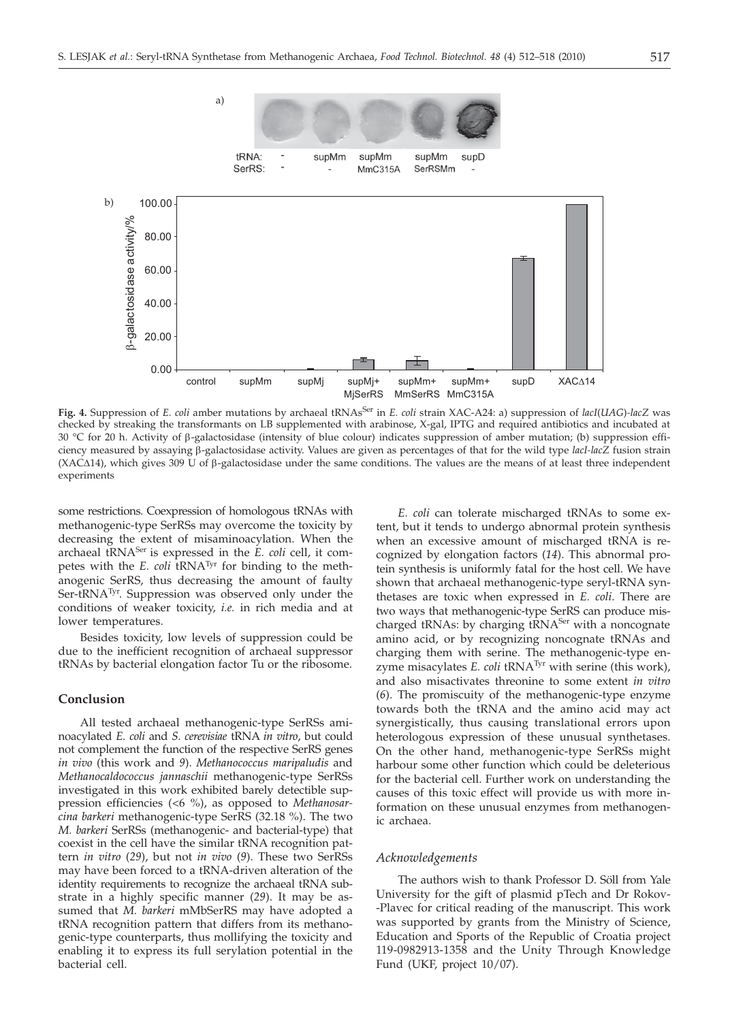

Fig. 4. Suppression of *E. coli* amber mutations by archaeal tRNAs<sup>Ser</sup> in *E. coli* strain XAC-A24: a) suppression of *lacI*(*UAG*)-lacZ was checked by streaking the transformants on LB supplemented with arabinose, X-gal, IPTG and required antibiotics and incubated at 30 °C for 20 h. Activity of  $\beta$ -galactosidase (intensity of blue colour) indicates suppression of amber mutation; (b) suppression efficiency measured by assaying b-galactosidase activity. Values are given as percentages of that for the wild type *lacI-lacZ* fusion strain (XAC $\Delta$ 14), which gives 309 U of  $\beta$ -galactosidase under the same conditions. The values are the means of at least three independent experiments

some restrictions. Coexpression of homologous tRNAs with methanogenic-type SerRSs may overcome the toxicity by decreasing the extent of misaminoacylation. When the archaeal tRNA<sup>Ser</sup> is expressed in the *E. coli* cell, it competes with the *E. coli* tRNA<sup>Tyr</sup> for binding to the methanogenic SerRS, thus decreasing the amount of faulty Ser-tRNA<sup>Tyr</sup>. Suppression was observed only under the conditions of weaker toxicity, *i.e.* in rich media and at lower temperatures.

Besides toxicity, low levels of suppression could be due to the inefficient recognition of archaeal suppressor tRNAs by bacterial elongation factor Tu or the ribosome.

## **Conclusion**

All tested archaeal methanogenic-type SerRSs aminoacylated *E. coli* and *S. cerevisiae* tRNA *in vitro*, but could not complement the function of the respective SerRS genes *in vivo* (this work and *9*). *Methanococcus maripaludis* and *Methanocaldococcus jannaschii* methanogenic-type SerRSs investigated in this work exhibited barely detectible suppression efficiencies (<6 %), as opposed to *Methanosarcina barkeri* methanogenic-type SerRS (32.18 %). The two *M. barkeri* SerRSs (methanogenic- and bacterial-type) that coexist in the cell have the similar tRNA recognition pattern *in vitro* (*29*), but not *in vivo* (*9*). These two SerRSs may have been forced to a tRNA-driven alteration of the identity requirements to recognize the archaeal tRNA substrate in a highly specific manner (*29*). It may be assumed that *M. barkeri* mMbSerRS may have adopted a tRNA recognition pattern that differs from its methanogenic-type counterparts, thus mollifying the toxicity and enabling it to express its full serylation potential in the bacterial cell.

*E. coli* can tolerate mischarged tRNAs to some extent, but it tends to undergo abnormal protein synthesis when an excessive amount of mischarged tRNA is recognized by elongation factors (*14*). This abnormal protein synthesis is uniformly fatal for the host cell. We have shown that archaeal methanogenic-type seryl-tRNA synthetases are toxic when expressed in *E. coli*. There are two ways that methanogenic-type SerRS can produce mischarged tRNAs: by charging tRNA<sup>Ser</sup> with a noncognate amino acid, or by recognizing noncognate tRNAs and charging them with serine. The methanogenic-type enzyme misacylates  $E.$  *coli* tRNA<sup>Tyr</sup> with serine (this work), and also misactivates threonine to some extent *in vitro* (*6*). The promiscuity of the methanogenic-type enzyme towards both the tRNA and the amino acid may act synergistically, thus causing translational errors upon heterologous expression of these unusual synthetases. On the other hand, methanogenic-type SerRSs might harbour some other function which could be deleterious for the bacterial cell. Further work on understanding the causes of this toxic effect will provide us with more information on these unusual enzymes from methanogenic archaea.

#### *Acknowledgements*

The authors wish to thank Professor D. Söll from Yale University for the gift of plasmid pTech and Dr Rokov- -Plavec for critical reading of the manuscript. This work was supported by grants from the Ministry of Science, Education and Sports of the Republic of Croatia project 119-0982913-1358 and the Unity Through Knowledge Fund (UKF, project 10/07).